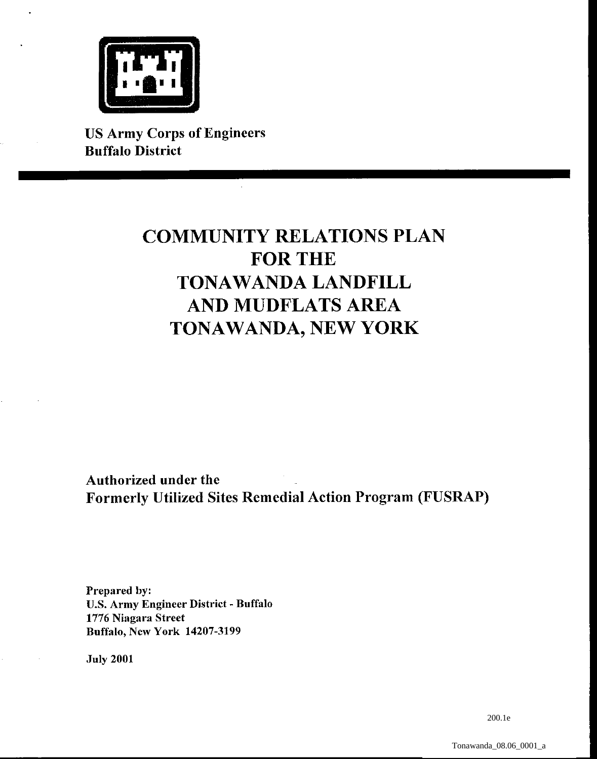

**US Army Corps of Engineers**  US Army Corps of Engineers **Buffalo District**  Buffalo District

# **COMMUNITY RELATIONS PLAN**<br>FOR THE **FOR THE TONAWANDA LANDFILL**  TONAWANDA LANDFILL **AND MUDFLATS AREA**  AND MUDFLATS AREA **TONAWANDA, NEW YORK**  TONAWANDA, NEW YORK

**Authorized under the**  Authorized under the **Formerly Utilized Sites Remedial Action Program (FUSRAP)**  Formerly Utilized Sites Remedial Action Program (FUSRAP)

**Prepared by:**  Prepared by: U.S. Army Engineer District - Buffalo<br>1776 Niagara Street<br>Buffalo, New York 14207-3199 **1776 Niagara Street Buffalo, New York 14207-3199** 

**July 2001**  July 2001

200.1e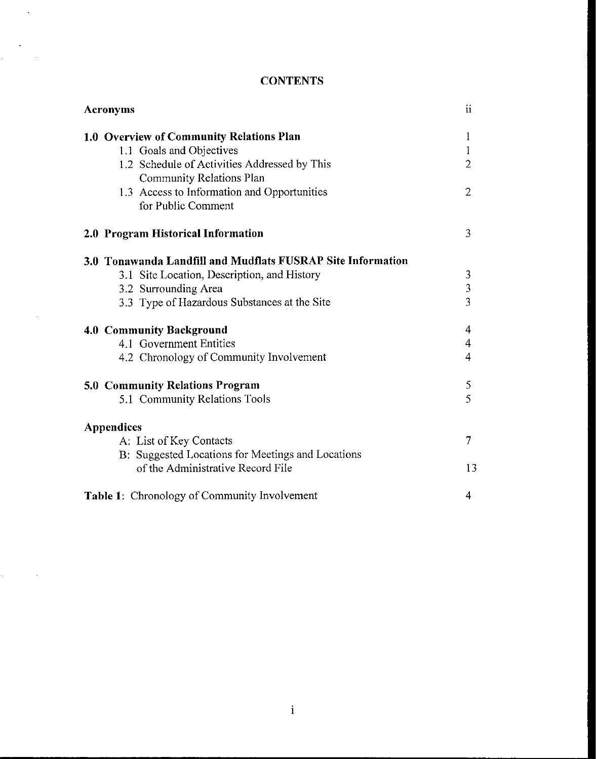# **CONTENTS**

 $\overline{a}$ 

 $\mathbf{r}$ 

 $\mathcal{L}_{\mathcal{L}}$ 

| <b>Acronyms</b>                                                                                                                                                                                                       | $\mathbf{ii}$                                      |
|-----------------------------------------------------------------------------------------------------------------------------------------------------------------------------------------------------------------------|----------------------------------------------------|
| 1.0 Overview of Community Relations Plan<br>1.1 Goals and Objectives<br>1.2 Schedule of Activities Addressed by This<br>Community Relations Plan<br>1.3 Access to Information and Opportunities<br>for Public Comment | 1<br>1<br>$\overline{2}$<br>$\overline{2}$         |
| 2.0 Program Historical Information                                                                                                                                                                                    | 3                                                  |
| 3.0 Tonawanda Landfill and Mudflats FUSRAP Site Information<br>3.1 Site Location, Description, and History<br>3.2 Surrounding Area<br>3.3 Type of Hazardous Substances at the Site                                    | $\mathfrak{Z}$<br>$\overline{3}$<br>$\overline{3}$ |
| 4.0 Community Background<br>4.1 Government Entities<br>4.2 Chronology of Community Involvement                                                                                                                        | $\overline{\mathcal{A}}$<br>$\overline{4}$<br>4    |
| 5.0 Community Relations Program<br>5.1 Community Relations Tools                                                                                                                                                      | $\mathfrak S$<br>5                                 |
| <b>Appendices</b><br>A: List of Key Contacts<br>B: Suggested Locations for Meetings and Locations<br>of the Administrative Record File                                                                                | 7<br>13                                            |
| <b>Table 1:</b> Chronology of Community Involvement                                                                                                                                                                   | 4                                                  |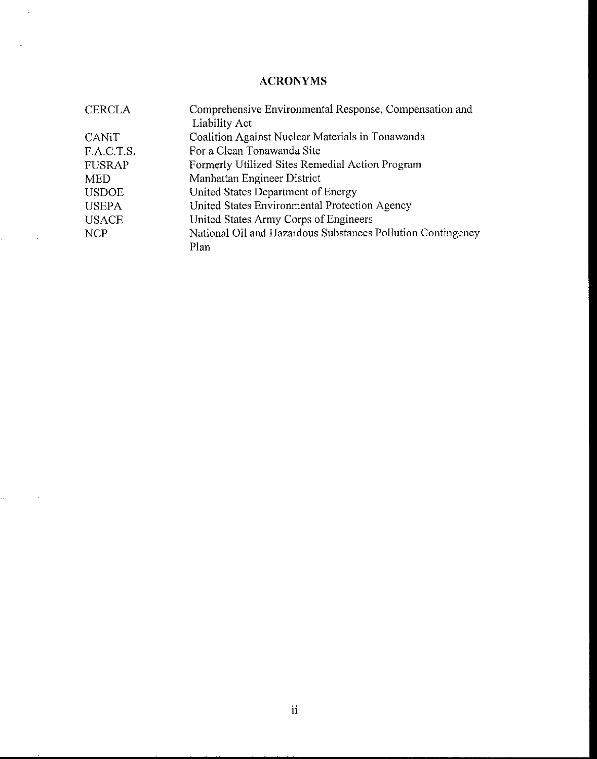# **ACRONYMS**

 $\sim$   $\sim$ 

 $\label{eq:2.1} \frac{1}{\sqrt{2\pi}}\int_{0}^{\pi} \frac{1}{\sqrt{2\pi}}\left(\frac{1}{\sqrt{2\pi}}\right)^{2} \frac{1}{\sqrt{2\pi}}\left(\frac{1}{\sqrt{2\pi}}\right)^{2} \frac{1}{\sqrt{2\pi}}\left(\frac{1}{\sqrt{2\pi}}\right)^{2} \frac{1}{\sqrt{2\pi}}\left(\frac{1}{\sqrt{2\pi}}\right)^{2} \frac{1}{\sqrt{2\pi}}\left(\frac{1}{\sqrt{2\pi}}\right)^{2} \frac{1}{\sqrt{2\pi}}\left(\frac{1}{\sqrt{2\pi}}\right)^{$ 

 $\label{eq:2.1} \mathcal{L}_{\text{max}}(\mathcal{L}_{\text{max}}) = \mathcal{L}_{\text{max}}(\mathcal{L}_{\text{max}})$ 

 $\sim 10^{11}$ 

| <b>CERCLA</b> | Comprehensive Environmental Response, Compensation and      |
|---------------|-------------------------------------------------------------|
|               | Liability Act                                               |
| <b>CANIT</b>  | Coalition Against Nuclear Materials in Tonawanda            |
| F.A.C.T.S.    | For a Clean Tonawanda Site                                  |
| <b>FUSRAP</b> | Formerly Utilized Sites Remedial Action Program             |
| <b>MED</b>    | Manhattan Engineer District                                 |
| <b>USDOE</b>  | United States Department of Energy                          |
| <b>USEPA</b>  | United States Environmental Protection Agency               |
| <b>USACE</b>  | United States Army Corps of Engineers                       |
| <b>NCP</b>    | National Oil and Hazardous Substances Pollution Contingency |
|               | Plan                                                        |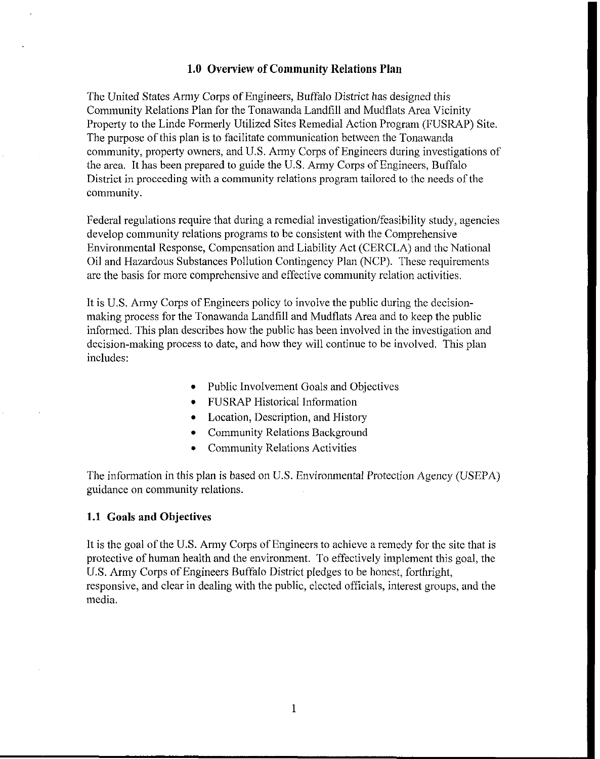#### **1.0 Overview of Community Relations Plan**

The United States Army Corps of Engineers, Buffalo District has designed this Community Relations Plan for the Tonawanda Landfill and Mudflats Area Vicinity Property to the Linde Formerly Utilized Sites Remedial Action Program (FUSRAP) Site. The purpose of this plan is to facilitate communication between the Tonawanda community, property owners, and U.S. Army Corps of Engineers during investigations of the area. It has been prepared to guide the U.S. Army Corps of Engineers, Buffalo District in proceeding with a community relations program tailored to the needs of the community.

Federal regulations require that during a remedial investigation/feasibility study, agencies develop community relations programs to be consistent with the Comprehensive Environmental Response, Compensation and Liability Act (CERCLA) and the National Oil and Hazardous Substances Pollution Contingency Plan (NCP). These requirements are the basis for more comprehensive and effective community relation activities.

It is U.S. Army Corps of Engineers policy to involve the public during the decisionmaking process for the Tonawanda Landfill and Mudflats Area and to keep the public informed. This plan describes how the public has been involved in the investigation and decision-making process to date, and how they will continue to be involved. This plan includes:

- Public Involvement Goals and Objectives
- FUSRAP Historical Information
- Location, Description, and History
- Community Relations Background
- Community Relations Activities

The information in this plan is based on U.S. Environmental Protection Agency (USEPA) guidance on community relations.

#### **1.1 Goals and Objectives**

It is the goal of the U.S. Army Corps of Engineers to achieve a remedy for the site that is protective of human health and the environment. To effectively implement this goal, the U.S. Army Corps of Engineers Buffalo District pledges to be honest, forthright, responsive, and clear in dealing with the public, elected officials, interest groups, and the media.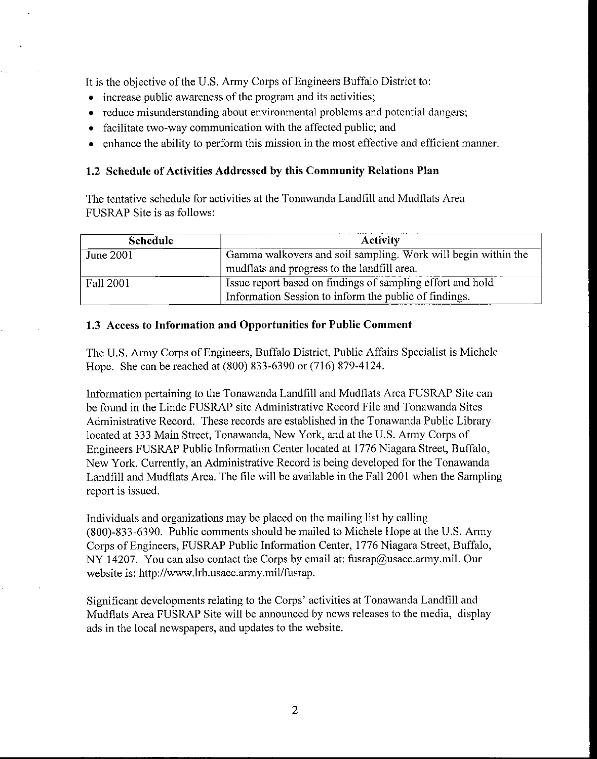It is the objective of the U.S. Army Corps of Engineers Buffalo District to:

- increase public awareness of the program and its activities;
- reduce misunderstanding about environmental problems and potential dangers;
- facilitate two-way communication with the affected public; and
- enhance the ability to perform this mission in the most effective and efficient manner.

# **1.2 Schedule of Activities Addressed by this Community Relations Plan**

The tentative schedule for activities at the Tonawanda Landfill and Mudflats Area FUSRAP Site is as follows:

| <b>Schedule</b> | <b>Activity</b>                                               |
|-----------------|---------------------------------------------------------------|
| June 2001       | Gamma walkovers and soil sampling. Work will begin within the |
|                 | mudflats and progress to the landfill area.                   |
| Fall 2001       | Issue report based on findings of sampling effort and hold    |
|                 | Information Session to inform the public of findings.         |

# **1.3** Access **to Information and Opportunities for Public Comment**

The U.S. Army Corps of Engineers, Buffalo District, Public Affairs Specialist is Michele Hope. She can be reached at (800) 833-6390 or (716) 879-4124.

Information pertaining to the Tonawanda Landfill and Mudflats Area FUSRAP Site can be found **in** the Linde FUSRAP site Administrative Record File and Tonawanda Sites Administrative Record. These records are established in the Tonawanda Public Library located at 333 Main Street, Tonawanda, New York, and at the U.S. Army Corps of Engineers FUSRAP Public Information Center located at 1776 Niagara Street, Buffalo, New York. Currently, an Administrative Record is being developed for the Tonawanda Landfill and Mudflats Area. The file will be available in the Fall 2001 when the Sampling report is issued.

Individuals and organizations may be placed on the mailing list by calling (800)-833-6390. Public comments should be mailed to Michele Hope at the U.S. Anny Corps of Engineers, FUSRAP Public Information Center, 1776 Niagara Street, Buffalo, NY 14207. You can also contact the Corps by email at: fusrap@usace.army.mil. Our website is: http://www.lrb.usace.army.mil/fusrap.

Significant developments relating to the Corps' activities at Tonawanda Landfill and Mudflats Area FUSRAP Site will be announced by news releases to the media, display ads in the local newspapers, and updates to the website.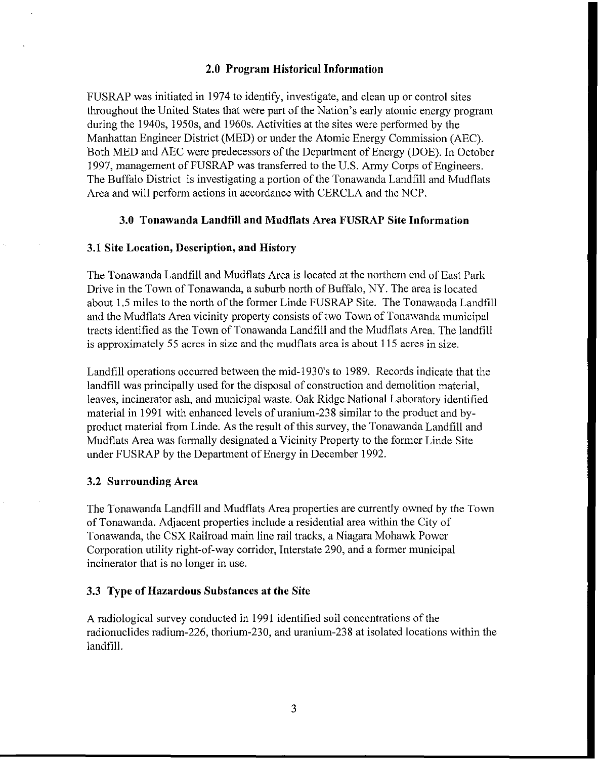#### 2.0 Program Historical Information

FUSRAP was initiated in 1974 to identify, investigate, and clean up or control sites throughout the United States that were part of the Nation's early atomic energy program during the 1940s, 1950s, and 1960s. Activities at the sites were performed by the Manhattan Engineer District (MED) or under the Atomic Energy Commission (AEC). Both MED and AEC were predecessors of the Department of Energy (DOE). In October 1997, management of FUSRAP was transferred to the U.S. Army Corps of Engineers. The Buffalo District is investigating a portion of the Tonawanda Landfill and Mudflats Area and will perform actions in accordance with CERCLA and the NCP.

#### 3.0 Tonawanda Landfill and Mudflats Area FUSRAP Site Information

#### 3.1 Site Location, Description, and History

The Tonawanda Landfill and Mudflats Area is located at the northern end of East Park Drive in the Town of Tonawanda, a suburb north of Buffalo, NY. The area is located about 1.5 miles to the north of the former Linde FUSRAP Site. The Tonawanda Landfill and the Mudflats Area vicinity property consists of two Town of Tonawanda municipal tracts identified as the Town of Tonawanda Landfill and the Mudflats Area. The landfill is approximately 55 acres in size and the mudflats area is about 115 acres in size.

Landfill operations occurred between the mid-1930's to 1989. Records indicate that the landfill was principally used for the disposal of construction and demolition material, leaves, incinerator ash, and municipal waste. Oak Ridge National Laboratory identified material in 1991 with enhanced levels of uranium-238 similar to the product and byproduct material from Linde. As the result of this survey, the Tonawanda Landfill and Mudflats Area was formally designated a Vicinity Property to the former Linde Site under FUSRAP by the Department of Energy in December 1992.

#### 3.2 Surrounding Area

The Tonawanda Landfill and Mudflats Area properties are currently owned by the Town of Tonawanda. Adjacent properties include a residential area within the City of Tonawanda, the CSX Railroad main line rail tracks, a Niagara Mohawk Power Corporation utility right-of-way corridor, Interstate 290, and a former municipal incinerator that is no longer in use.

#### 3.3 Type of Hazardous Substances at the Site

A radiological survey conducted in 1991 identified soil concentrations of the radionuclides radium-226, thorium-230, and uranium-238 at isolated locations within the landfill.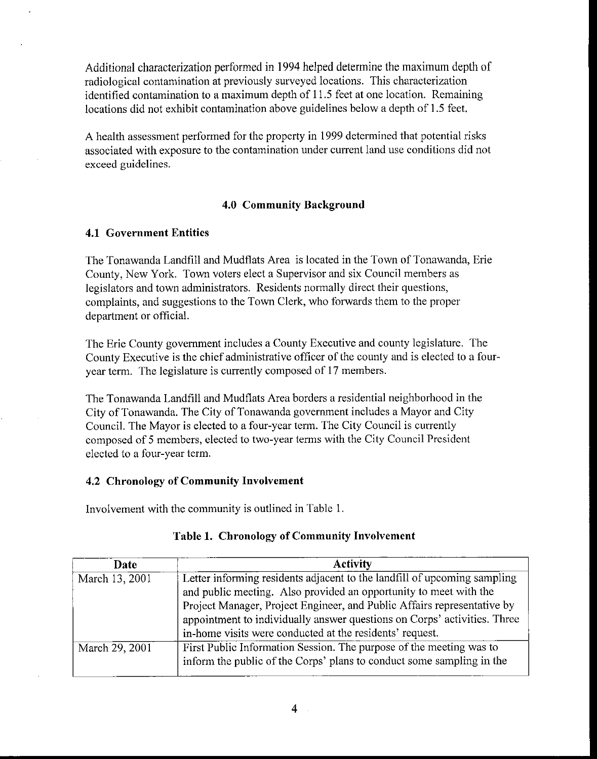Additional characterization performed in 1994 helped determine the maximum depth of radiological contamination at previously surveyed locations. This characterization identified contamination to a maximum depth of 11.5 feet at one location. Remaining locations did not exhibit contamination above guidelines below a depth of 1.5 feet.

A health assessment performed for the property in 1999 determined that potential risks associated with exposure to the contamination under current land use conditions did not exceed guidelines.

# **4.0 Community Background**

#### **4.1 Government Entities**

The Tonawanda Landfill and Mudflats Area is located in the Town of Tonawanda, Erie County, New York. Town voters elect a Supervisor and six Council members as legislators and town administrators. Residents normally direct their questions, complaints, and suggestions to the Town Clerk, who forwards them to the proper department or official.

The Erie County government includes a County Executive and county legislature. The County Executive is the chief administrative officer of the county and is elected to a fouryear term. The legislature is currently composed of 17 members.

The Tonawanda Landfill and Mudflats Area borders a residential neighborhood in the City of Tonawanda. The City of Tonawanda government includes a Mayor and City Council. The Mayor is elected to a four-year term. The City Council is currently composed of 5 members, elected to two-year terms with the City Council President elected to a four-year term.

# **4.2 Chronology of Commuuity Involvement**

Involvement with the community is outlined in Table I.

| Date           | <b>Activity</b>                                                          |
|----------------|--------------------------------------------------------------------------|
| March 13, 2001 | Letter informing residents adjacent to the landfill of upcoming sampling |
|                | and public meeting. Also provided an opportunity to meet with the        |
|                | Project Manager, Project Engineer, and Public Affairs representative by  |
|                | appointment to individually answer questions on Corps' activities. Three |
|                | in-home visits were conducted at the residents' request.                 |
| March 29, 2001 | First Public Information Session. The purpose of the meeting was to      |
|                | inform the public of the Corps' plans to conduct some sampling in the    |

# **Table 1. Chronology of Community Involvement**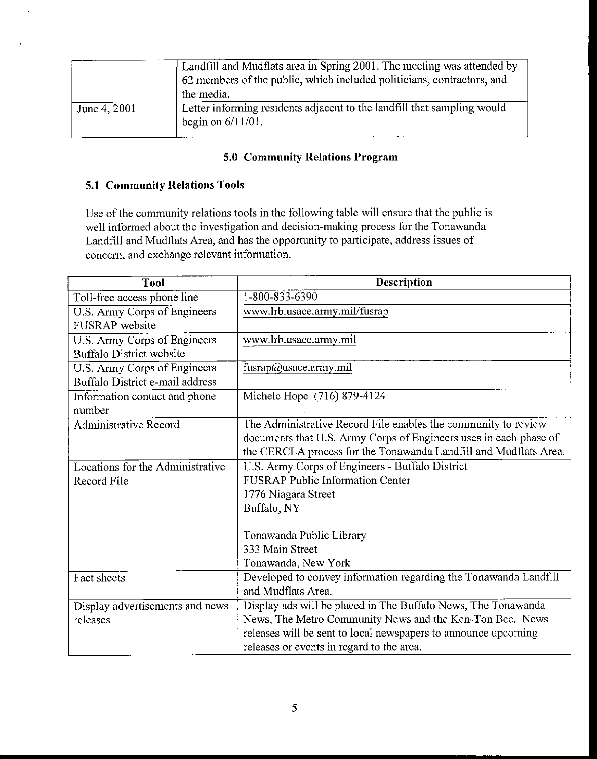|              | Landfill and Mudflats area in Spring 2001. The meeting was attended by<br>62 members of the public, which included politicians, contractors, and |
|--------------|--------------------------------------------------------------------------------------------------------------------------------------------------|
|              | the media.                                                                                                                                       |
| June 4, 2001 | Letter informing residents adjacent to the landfill that sampling would<br>begin on $6/11/01$ .                                                  |

# **5.0 Community Relations Program**

# **5.1 Community Relations Tools**

Use of the community relations tools in the following table will ensure that the public is well informed about the investigation and decision-making process for the Tonawanda Landfill and Mudflats Area, and has the opportunity to participate, address issues of concern, and exchange relevant information.

| <b>Tool</b>                      | <b>Description</b>                                                |
|----------------------------------|-------------------------------------------------------------------|
| Toll-free access phone line      | 1-800-833-6390                                                    |
| U.S. Army Corps of Engineers     | www.lrb.usace.army.mil/fusrap                                     |
| <b>FUSRAP</b> website            |                                                                   |
| U.S. Army Corps of Engineers     | www.lrb.usace.army.mil                                            |
| <b>Buffalo District website</b>  |                                                                   |
| U.S. Army Corps of Engineers     | fusrap@usace.army.mil                                             |
| Buffalo District e-mail address  |                                                                   |
| Information contact and phone    | Michele Hope (716) 879-4124                                       |
| number                           |                                                                   |
| <b>Administrative Record</b>     | The Administrative Record File enables the community to review    |
|                                  | documents that U.S. Army Corps of Engineers uses in each phase of |
|                                  | the CERCLA process for the Tonawanda Landfill and Mudflats Area.  |
| Locations for the Administrative | U.S. Army Corps of Engineers - Buffalo District                   |
| Record File                      | <b>FUSRAP Public Information Center</b>                           |
|                                  | 1776 Niagara Street                                               |
|                                  | Buffalo, NY                                                       |
|                                  |                                                                   |
|                                  | Tonawanda Public Library                                          |
|                                  | 333 Main Street                                                   |
|                                  | Tonawanda, New York                                               |
| Fact sheets                      | Developed to convey information regarding the Tonawanda Landfill  |
|                                  | and Mudflats Area.                                                |
| Display advertisements and news  | Display ads will be placed in The Buffalo News, The Tonawanda     |
| releases                         | News, The Metro Community News and the Ken-Ton Bee. News          |
|                                  | releases will be sent to local newspapers to announce upcoming    |
|                                  | releases or events in regard to the area.                         |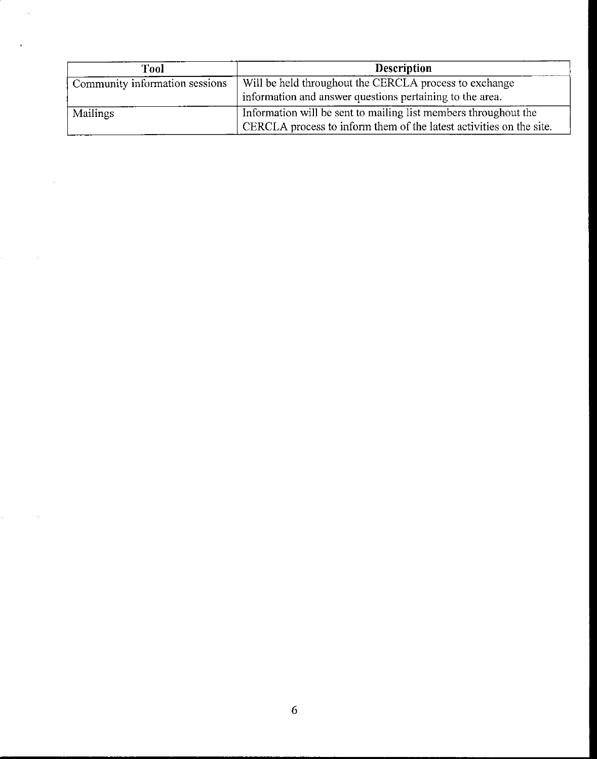| Tool                           | <b>Description</b>                                                  |
|--------------------------------|---------------------------------------------------------------------|
| Community information sessions | Will be held throughout the CERCLA process to exchange              |
|                                | information and answer questions pertaining to the area.            |
| <b>Mailings</b>                | Information will be sent to mailing list members throughout the     |
|                                | CERCLA process to inform them of the latest activities on the site. |

 $\bar{\beta}$ 

l,

 $\label{eq:2.1} \alpha_{\rm{max}} = \frac{1}{\sqrt{2}} \left( \frac{1}{\sqrt{2}} \right)^{2} \left( \frac{1}{2} \right)^{2}$ 

 $\hat{a}^{(1)}_{\rm{max}}$  and  $\hat{a}^{(2)}_{\rm{max}}$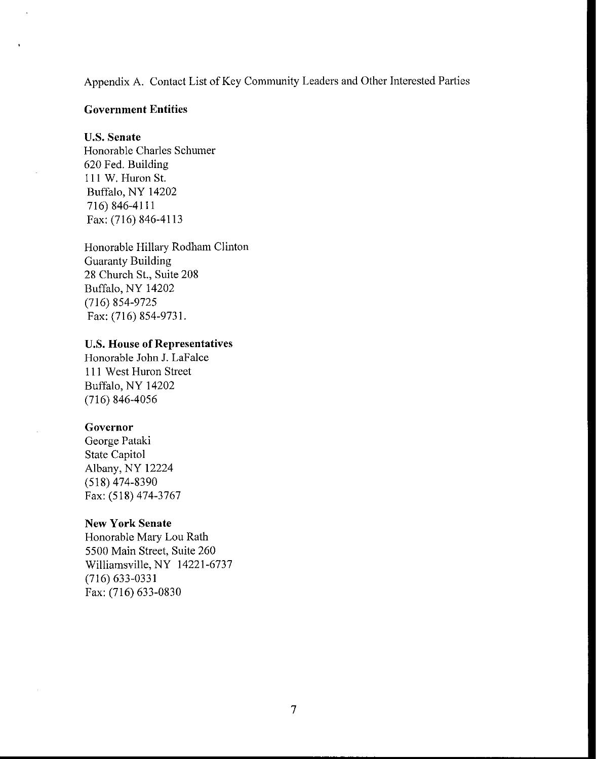Appendix A. Contact List of Key Community Leaders and Other Interested Parties

#### **Government Entities**

#### **U.S. Senate**

Honorable Charles Schumer 620 Fed. Building 111 W. Huron St. Buffalo, NY 14202 716) 846-4111 Fax: (716) 846-4113

Honorable Hillary Rodham Clinton Guaranty Building 28 Church St., Suite 208 Buffalo, NY 14202 (716) 854-9725 Fax: (716) 854-9731.

#### **U.S. House** of Representatives

Honorable John J. LaFalce III West Huron Street Buffalo, NY 14202 (716) 846-4056

## **Governor**

George Pataki State Capitol Albany, NY 12224 (518) 474-8390 Fax: (518) 474-3767

## **New York Senate**

Honorable Mary Lou Rath 5500 Main Street, Suite 260 Williamsville, NY 14221-6737 (716) 633-0331 Fax: (716) 633-0830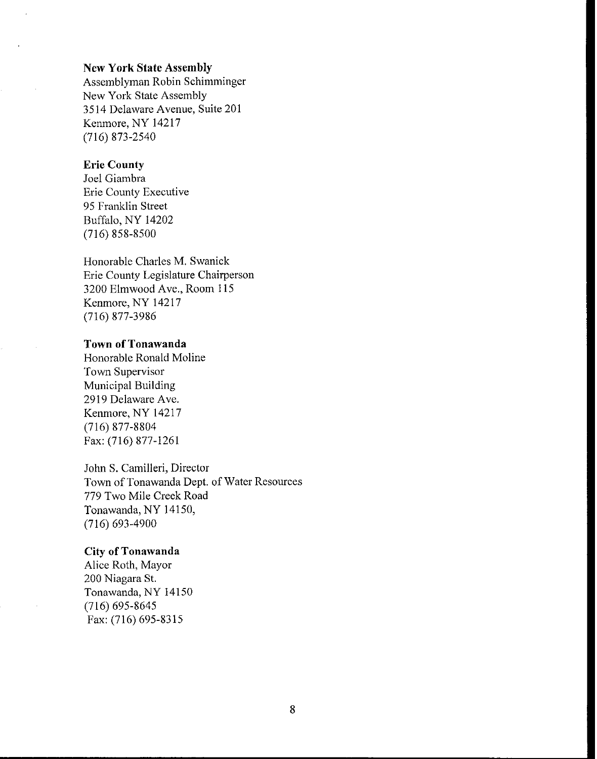#### **New York State Assembly**

Assemblyman Robin Schimminger New York State Assembly 3514 Delaware Avenue, Suite 201 Kenmore, NY 14217 (716) 873-2540

## **Erie County**

Joel Giambra Erie County Executive 95 Franklin Street Buffalo, NY 14202 (716) 858-8500

Honorable Charles M. Swanick Erie County Legislature Chairperson 3200 Elmwood Ave., Room 115 Kenmore, NY 14217 (716) 877-3986

#### **Town** of Tonawanda

Honorable Ronald Moline Town Supervisor Municipal Building 2919 Delaware Ave. Kenmore, NY 14217 (716) 877-8804 Fax: (716) 877-1261

John S. Camilleri, Director Town of Tonawanda Dept. of Water Resources 779 Two Mile Creek Road Tonawanda, NY 14150, (716) 693-4900

#### **City** of Tonawanda

Alice Roth, Mayor 200 Niagara st. Tonawanda, NY 14150 (716) 695-8645 Fax: (716) 695-8315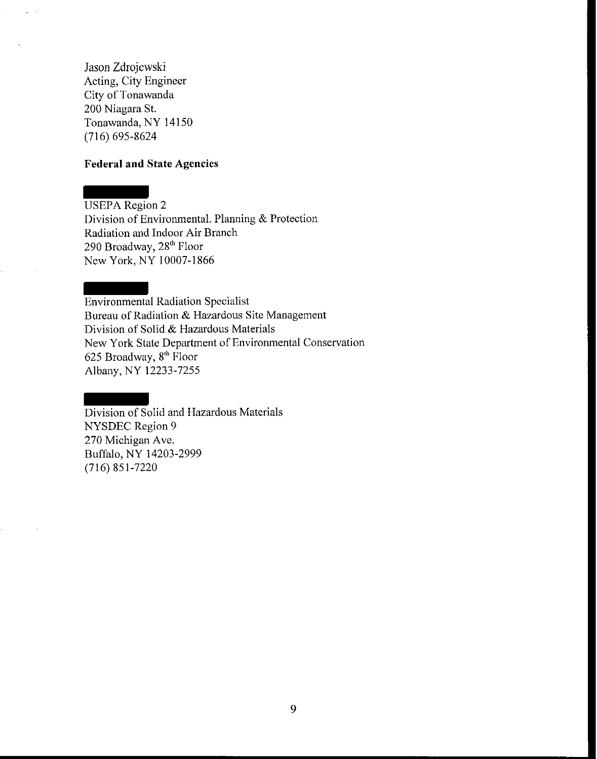Jason Zdrojewski Acting, City Engineer City of Tonawanda 200 Niagara St. Tonawanda, NY 14150 (716) 695-8624

#### **Federal and State Agencies**

USEPA Region 2 Division of Environmental. Planning  $&$  Protection Radiation and Indoor Air Branch 290 Broadway, 28<sup>th</sup> Floor New York, NY 10007-1866

Environmental Radiation Specialist Bureau of Radiation & Hazardous Site Management Division of Solid & Hazardous Materials New York State Department of Environmental Conservation 625 Broadway,  $8<sup>th</sup>$  Floor Albany, NY 12233-7255

Division of Solid and Hazardous Materials NYSDEC Region 9 270 Michigan Ave. Buffalo, NY 14203-2999 (716) 851-7220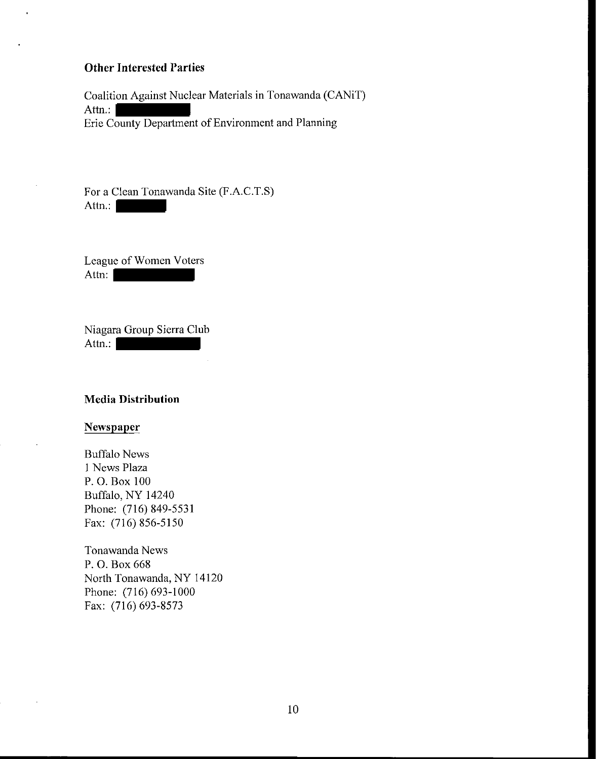# **Other Interested Parties**

Coalition Against Nuclear Materials in Tonawanda (CANiT) Attn.: Erie County Department of Environment and Planning

For a Clean Tonawanda Site (F.A.C.T.S) Attn.:

League of Women Voters Attn:

Niagara Group Sierra Club Attn.:

#### **Media Distribution**

# **Newspaper**

Buffalo News 1 News Plaza P. O. Box 100 Buffalo, NY 14240 Phone: (716) 849-5531 Fax: (716) 856-5150

Tonawanda News P. O. Box 668 North Tonawanda, NY 14120 Phone: (716) 693-1000 Fax: (716) 693-8573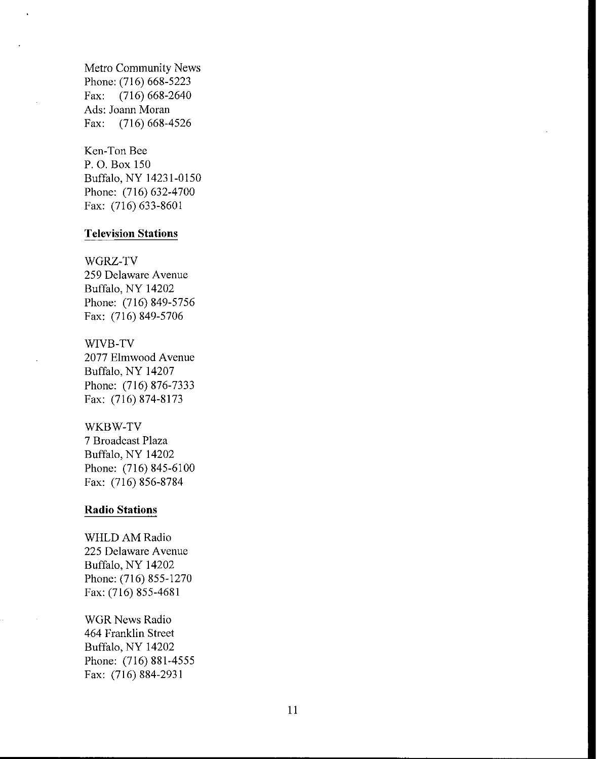Metro Community News Phone: (716) 668-5223 Fax: (716) 668-2640 Ads: Joann Moran Fax: (716) 668-4526

Ken-Ton Bee P. O. Box 150 Buffalo, NY 14231-0150 Phone: (716) 632-4700 Fax: (716) 633-8601

#### **Television Stations**

WGRZ-TV 259 Delaware Avenue Buffalo, NY 14202 Phone: (716) 849-5756 Fax: (716) 849-5706

# WIVB-TV 2077 Elmwood Avenue Buffalo, NY 14207 Phone: (716) 876-7333 Fax: (716) 874-8173

WKBW-TV

7 Broadcast Plaza Buffalo, NY 14202 Phone: (716) 845-6100 Fax: (716) 856-8784

#### **Radio Stations**

WHLD AM Radio 225 Delaware Avenue Buffalo, NY 14202 Phone: (716) 855-1270 Fax: (716) 855-4681

WGR News Radio 464 Franklin Street Buffalo, NY 14202 Phone: (716) 881-4555 Fax: (716) 884-2931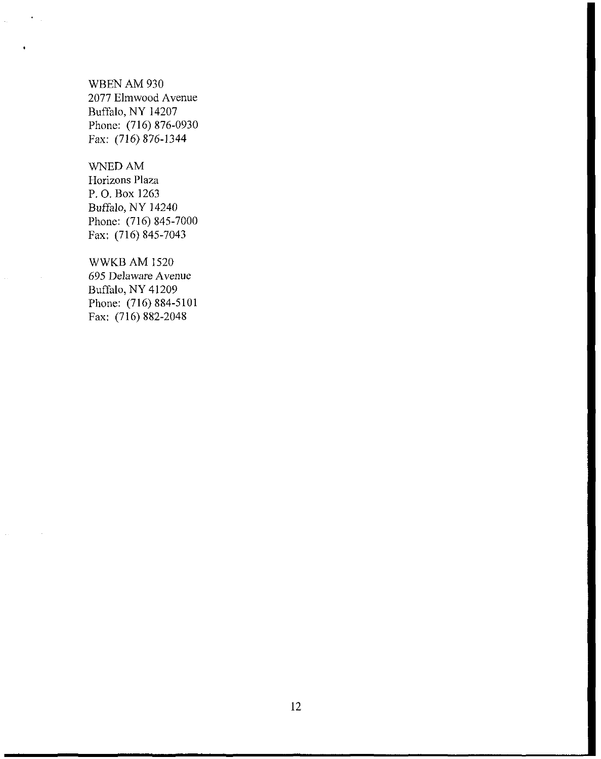WBEN AM 930 2077 Elmwood Avenue Buffalo, NY 14207 Phone: (716) 876-0930 Fax: (716) 876-1344

WNEDAM

Horizons Plaza P. O. Box 1263 Buffalo, NY 14240 Phone: (716) 845-7000 Fax: (716) 845-7043

WWKBAM 1520 695 Delaware Avenue Buffalo, NY 41209 Phone: (716) 884-5101 Fax: (716) 882-2048

12